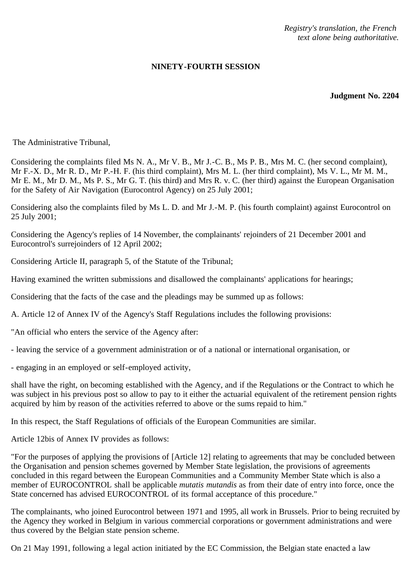*Registry's translation, the French text alone being authoritative.*

## **NINETY-FOURTH SESSION**

**Judgment No. 2204**

The Administrative Tribunal,

Considering the complaints filed Ms N. A., Mr V. B., Mr J.-C. B., Ms P. B., Mrs M. C. (her second complaint), Mr F.-X. D., Mr R. D., Mr P.-H. F. (his third complaint), Mrs M. L. (her third complaint), Ms V. L., Mr M. M., Mr E. M., Mr D. M., Ms P. S., Mr G. T. (his third) and Mrs R. v. C. (her third) against the European Organisation for the Safety of Air Navigation (Eurocontrol Agency) on 25 July 2001;

Considering also the complaints filed by Ms L. D. and Mr J.-M. P. (his fourth complaint) against Eurocontrol on 25 July 2001;

Considering the Agency's replies of 14 November, the complainants' rejoinders of 21 December 2001 and Eurocontrol's surrejoinders of 12 April 2002;

Considering Article II, paragraph 5, of the Statute of the Tribunal;

Having examined the written submissions and disallowed the complainants' applications for hearings;

Considering that the facts of the case and the pleadings may be summed up as follows:

A. Article 12 of Annex IV of the Agency's Staff Regulations includes the following provisions:

"An official who enters the service of the Agency after:

- leaving the service of a government administration or of a national or international organisation, or

- engaging in an employed or self-employed activity,

shall have the right, on becoming established with the Agency, and if the Regulations or the Contract to which he was subject in his previous post so allow to pay to it either the actuarial equivalent of the retirement pension rights acquired by him by reason of the activities referred to above or the sums repaid to him."

In this respect, the Staff Regulations of officials of the European Communities are similar.

Article 12bis of Annex IV provides as follows:

"For the purposes of applying the provisions of [Article 12] relating to agreements that may be concluded between the Organisation and pension schemes governed by Member State legislation, the provisions of agreements concluded in this regard between the European Communities and a Community Member State which is also a member of EUROCONTROL shall be applicable *mutatis mutandis* as from their date of entry into force, once the State concerned has advised EUROCONTROL of its formal acceptance of this procedure."

The complainants, who joined Eurocontrol between 1971 and 1995, all work in Brussels. Prior to being recruited by the Agency they worked in Belgium in various commercial corporations or government administrations and were thus covered by the Belgian state pension scheme.

On 21 May 1991, following a legal action initiated by the EC Commission, the Belgian state enacted a law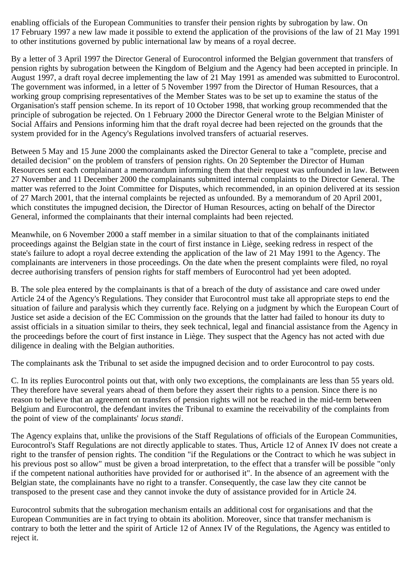enabling officials of the European Communities to transfer their pension rights by subrogation by law. On 17 February 1997 a new law made it possible to extend the application of the provisions of the law of 21 May 1991 to other institutions governed by public international law by means of a royal decree.

By a letter of 3 April 1997 the Director General of Eurocontrol informed the Belgian government that transfers of pension rights by subrogation between the Kingdom of Belgium and the Agency had been accepted in principle. In August 1997, a draft royal decree implementing the law of 21 May 1991 as amended was submitted to Eurocontrol. The government was informed, in a letter of 5 November 1997 from the Director of Human Resources, that a working group comprising representatives of the Member States was to be set up to examine the status of the Organisation's staff pension scheme. In its report of 10 October 1998, that working group recommended that the principle of subrogation be rejected. On 1 February 2000 the Director General wrote to the Belgian Minister of Social Affairs and Pensions informing him that the draft royal decree had been rejected on the grounds that the system provided for in the Agency's Regulations involved transfers of actuarial reserves.

Between 5 May and 15 June 2000 the complainants asked the Director General to take a "complete, precise and detailed decision" on the problem of transfers of pension rights. On 20 September the Director of Human Resources sent each complainant a memorandum informing them that their request was unfounded in law. Between 27 November and 11 December 2000 the complainants submitted internal complaints to the Director General. The matter was referred to the Joint Committee for Disputes, which recommended, in an opinion delivered at its session of 27 March 2001, that the internal complaints be rejected as unfounded. By a memorandum of 20 April 2001, which constitutes the impugned decision, the Director of Human Resources, acting on behalf of the Director General, informed the complainants that their internal complaints had been rejected.

Meanwhile, on 6 November 2000 a staff member in a similar situation to that of the complainants initiated proceedings against the Belgian state in the court of first instance in Liège, seeking redress in respect of the state's failure to adopt a royal decree extending the application of the law of 21 May 1991 to the Agency. The complainants are interveners in those proceedings. On the date when the present complaints were filed, no royal decree authorising transfers of pension rights for staff members of Eurocontrol had yet been adopted.

B. The sole plea entered by the complainants is that of a breach of the duty of assistance and care owed under Article 24 of the Agency's Regulations. They consider that Eurocontrol must take all appropriate steps to end the situation of failure and paralysis which they currently face. Relying on a judgment by which the European Court of Justice set aside a decision of the EC Commission on the grounds that the latter had failed to honour its duty to assist officials in a situation similar to theirs, they seek technical, legal and financial assistance from the Agency in the proceedings before the court of first instance in Liège. They suspect that the Agency has not acted with due diligence in dealing with the Belgian authorities.

The complainants ask the Tribunal to set aside the impugned decision and to order Eurocontrol to pay costs.

C. In its replies Eurocontrol points out that, with only two exceptions, the complainants are less than 55 years old. They therefore have several years ahead of them before they assert their rights to a pension. Since there is no reason to believe that an agreement on transfers of pension rights will not be reached in the mid-term between Belgium and Eurocontrol, the defendant invites the Tribunal to examine the receivability of the complaints from the point of view of the complainants' *locus standi*.

The Agency explains that, unlike the provisions of the Staff Regulations of officials of the European Communities, Eurocontrol's Staff Regulations are not directly applicable to states. Thus, Article 12 of Annex IV does not create a right to the transfer of pension rights. The condition "if the Regulations or the Contract to which he was subject in his previous post so allow" must be given a broad interpretation, to the effect that a transfer will be possible "only if the competent national authorities have provided for or authorised it". In the absence of an agreement with the Belgian state, the complainants have no right to a transfer. Consequently, the case law they cite cannot be transposed to the present case and they cannot invoke the duty of assistance provided for in Article 24.

Eurocontrol submits that the subrogation mechanism entails an additional cost for organisations and that the European Communities are in fact trying to obtain its abolition. Moreover, since that transfer mechanism is contrary to both the letter and the spirit of Article 12 of Annex IV of the Regulations, the Agency was entitled to reject it.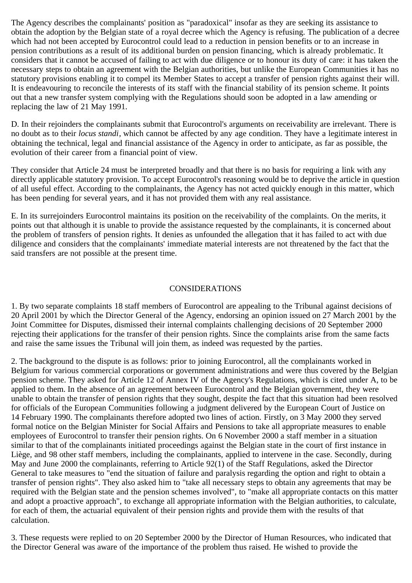The Agency describes the complainants' position as "paradoxical" insofar as they are seeking its assistance to obtain the adoption by the Belgian state of a royal decree which the Agency is refusing. The publication of a decree which had not been accepted by Eurocontrol could lead to a reduction in pension benefits or to an increase in pension contributions as a result of its additional burden on pension financing, which is already problematic. It considers that it cannot be accused of failing to act with due diligence or to honour its duty of care: it has taken the necessary steps to obtain an agreement with the Belgian authorities, but unlike the European Communities it has no statutory provisions enabling it to compel its Member States to accept a transfer of pension rights against their will. It is endeavouring to reconcile the interests of its staff with the financial stability of its pension scheme. It points out that a new transfer system complying with the Regulations should soon be adopted in a law amending or replacing the law of 21 May 1991.

D. In their rejoinders the complainants submit that Eurocontrol's arguments on receivability are irrelevant. There is no doubt as to their *locus standi*, which cannot be affected by any age condition. They have a legitimate interest in obtaining the technical, legal and financial assistance of the Agency in order to anticipate, as far as possible, the evolution of their career from a financial point of view.

They consider that Article 24 must be interpreted broadly and that there is no basis for requiring a link with any directly applicable statutory provision. To accept Eurocontrol's reasoning would be to deprive the article in question of all useful effect. According to the complainants, the Agency has not acted quickly enough in this matter, which has been pending for several years, and it has not provided them with any real assistance.

E. In its surrejoinders Eurocontrol maintains its position on the receivability of the complaints. On the merits, it points out that although it is unable to provide the assistance requested by the complainants, it is concerned about the problem of transfers of pension rights. It denies as unfounded the allegation that it has failed to act with due diligence and considers that the complainants' immediate material interests are not threatened by the fact that the said transfers are not possible at the present time.

## CONSIDERATIONS

1. By two separate complaints 18 staff members of Eurocontrol are appealing to the Tribunal against decisions of 20 April 2001 by which the Director General of the Agency, endorsing an opinion issued on 27 March 2001 by the Joint Committee for Disputes, dismissed their internal complaints challenging decisions of 20 September 2000 rejecting their applications for the transfer of their pension rights. Since the complaints arise from the same facts and raise the same issues the Tribunal will join them, as indeed was requested by the parties.

2. The background to the dispute is as follows: prior to joining Eurocontrol, all the complainants worked in Belgium for various commercial corporations or government administrations and were thus covered by the Belgian pension scheme. They asked for Article 12 of Annex IV of the Agency's Regulations, which is cited under A, to be applied to them. In the absence of an agreement between Eurocontrol and the Belgian government, they were unable to obtain the transfer of pension rights that they sought, despite the fact that this situation had been resolved for officials of the European Communities following a judgment delivered by the European Court of Justice on 14 February 1990. The complainants therefore adopted two lines of action. Firstly, on 3 May 2000 they served formal notice on the Belgian Minister for Social Affairs and Pensions to take all appropriate measures to enable employees of Eurocontrol to transfer their pension rights. On 6 November 2000 a staff member in a situation similar to that of the complainants initiated proceedings against the Belgian state in the court of first instance in Liège, and 98 other staff members, including the complainants, applied to intervene in the case. Secondly, during May and June 2000 the complainants, referring to Article 92(1) of the Staff Regulations, asked the Director General to take measures to "end the situation of failure and paralysis regarding the option and right to obtain a transfer of pension rights". They also asked him to "take all necessary steps to obtain any agreements that may be required with the Belgian state and the pension schemes involved", to "make all appropriate contacts on this matter and adopt a proactive approach", to exchange all appropriate information with the Belgian authorities, to calculate, for each of them, the actuarial equivalent of their pension rights and provide them with the results of that calculation.

3. These requests were replied to on 20 September 2000 by the Director of Human Resources, who indicated that the Director General was aware of the importance of the problem thus raised. He wished to provide the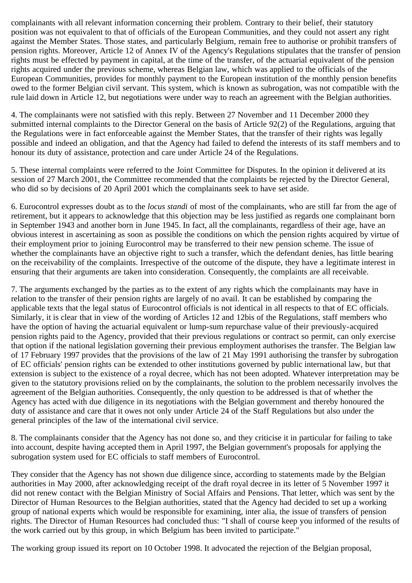complainants with all relevant information concerning their problem. Contrary to their belief, their statutory position was not equivalent to that of officials of the European Communities, and they could not assert any right against the Member States. Those states, and particularly Belgium, remain free to authorise or prohibit transfers of pension rights. Moreover, Article 12 of Annex IV of the Agency's Regulations stipulates that the transfer of pension rights must be effected by payment in capital, at the time of the transfer, of the actuarial equivalent of the pension rights acquired under the previous scheme, whereas Belgian law, which was applied to the officials of the European Communities, provides for monthly payment to the European institution of the monthly pension benefits owed to the former Belgian civil servant. This system, which is known as subrogation, was not compatible with the rule laid down in Article 12, but negotiations were under way to reach an agreement with the Belgian authorities.

4. The complainants were not satisfied with this reply. Between 27 November and 11 December 2000 they submitted internal complaints to the Director General on the basis of Article 92(2) of the Regulations, arguing that the Regulations were in fact enforceable against the Member States, that the transfer of their rights was legally possible and indeed an obligation, and that the Agency had failed to defend the interests of its staff members and to honour its duty of assistance, protection and care under Article 24 of the Regulations.

5. These internal complaints were referred to the Joint Committee for Disputes. In the opinion it delivered at its session of 27 March 2001, the Committee recommended that the complaints be rejected by the Director General, who did so by decisions of 20 April 2001 which the complainants seek to have set aside.

6. Eurocontrol expresses doubt as to the *locus standi* of most of the complainants, who are still far from the age of retirement, but it appears to acknowledge that this objection may be less justified as regards one complainant born in September 1943 and another born in June 1945. In fact, all the complainants, regardless of their age, have an obvious interest in ascertaining as soon as possible the conditions on which the pension rights acquired by virtue of their employment prior to joining Eurocontrol may be transferred to their new pension scheme. The issue of whether the complainants have an objective right to such a transfer, which the defendant denies, has little bearing on the receivability of the complaints. Irrespective of the outcome of the dispute, they have a legitimate interest in ensuring that their arguments are taken into consideration. Consequently, the complaints are all receivable.

7. The arguments exchanged by the parties as to the extent of any rights which the complainants may have in relation to the transfer of their pension rights are largely of no avail. It can be established by comparing the applicable texts that the legal status of Eurocontrol officials is not identical in all respects to that of EC officials. Similarly, it is clear that in view of the wording of Articles 12 and 12bis of the Regulations, staff members who have the option of having the actuarial equivalent or lump-sum repurchase value of their previously-acquired pension rights paid to the Agency, provided that their previous regulations or contract so permit, can only exercise that option if the national legislation governing their previous employment authorises the transfer. The Belgian law of 17 February 1997 provides that the provisions of the law of 21 May 1991 authorising the transfer by subrogation of EC officials' pension rights can be extended to other institutions governed by public international law, but that extension is subject to the existence of a royal decree, which has not been adopted. Whatever interpretation may be given to the statutory provisions relied on by the complainants, the solution to the problem necessarily involves the agreement of the Belgian authorities. Consequently, the only question to be addressed is that of whether the Agency has acted with due diligence in its negotiations with the Belgian government and thereby honoured the duty of assistance and care that it owes not only under Article 24 of the Staff Regulations but also under the general principles of the law of the international civil service.

8. The complainants consider that the Agency has not done so, and they criticise it in particular for failing to take into account, despite having accepted them in April 1997, the Belgian government's proposals for applying the subrogation system used for EC officials to staff members of Eurocontrol.

They consider that the Agency has not shown due diligence since, according to statements made by the Belgian authorities in May 2000, after acknowledging receipt of the draft royal decree in its letter of 5 November 1997 it did not renew contact with the Belgian Ministry of Social Affairs and Pensions. That letter, which was sent by the Director of Human Resources to the Belgian authorities, stated that the Agency had decided to set up a working group of national experts which would be responsible for examining, inter alia, the issue of transfers of pension rights. The Director of Human Resources had concluded thus: "I shall of course keep you informed of the results of the work carried out by this group, in which Belgium has been invited to participate."

The working group issued its report on 10 October 1998. It advocated the rejection of the Belgian proposal,